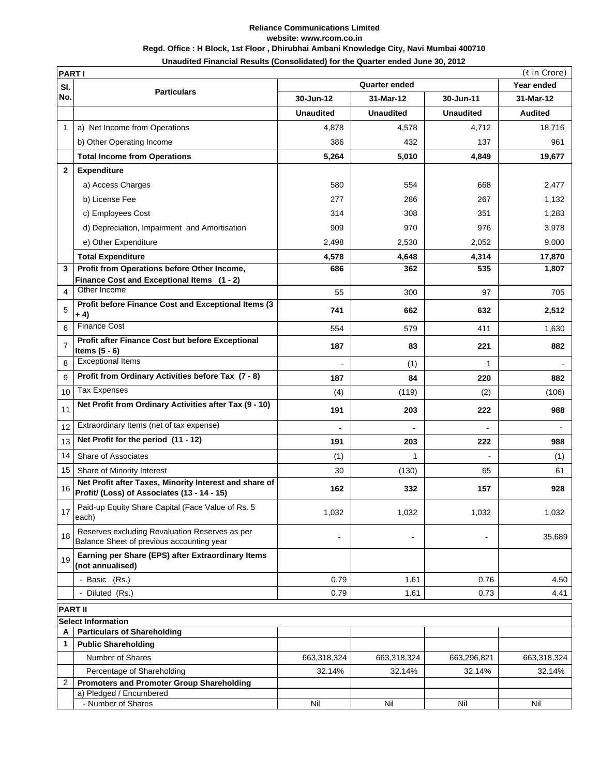## **Reliance Communications Limited website: www.rcom.co.in Regd. Office : H Block, 1st Floor , Dhirubhai Ambani Knowledge City, Navi Mumbai 400710 Unaudited Financial Results (Consolidated) for the Quarter ended June 30, 2012**

|                | (₹ in Crore)<br><b>PART I</b>                                                                         |                      |                  |                          |                |  |
|----------------|-------------------------------------------------------------------------------------------------------|----------------------|------------------|--------------------------|----------------|--|
| SI.            |                                                                                                       | <b>Quarter ended</b> |                  |                          | Year ended     |  |
| No.            | <b>Particulars</b>                                                                                    | 30-Jun-12            | 31-Mar-12        | 30-Jun-11                | 31-Mar-12      |  |
|                |                                                                                                       | <b>Unaudited</b>     | <b>Unaudited</b> | <b>Unaudited</b>         | <b>Audited</b> |  |
| $\mathbf{1}$   | a) Net Income from Operations                                                                         | 4,878                | 4,578            | 4,712                    | 18,716         |  |
|                | b) Other Operating Income                                                                             | 386                  | 432              | 137                      | 961            |  |
|                | <b>Total Income from Operations</b>                                                                   | 5,264                | 5,010            | 4,849                    | 19,677         |  |
| $\mathbf{2}$   | <b>Expenditure</b>                                                                                    |                      |                  |                          |                |  |
|                | a) Access Charges                                                                                     | 580                  | 554              | 668                      | 2,477          |  |
|                | b) License Fee                                                                                        | 277                  | 286              | 267                      | 1,132          |  |
|                | c) Employees Cost                                                                                     | 314                  | 308              | 351                      | 1,283          |  |
|                | d) Depreciation, Impairment and Amortisation                                                          | 909                  | 970              | 976                      | 3,978          |  |
|                | e) Other Expenditure                                                                                  | 2,498                | 2,530            | 2,052                    | 9,000          |  |
|                | <b>Total Expenditure</b>                                                                              | 4,578                | 4,648            | 4,314                    | 17,870         |  |
| 3              | Profit from Operations before Other Income,                                                           | 686                  | 362              | 535                      | 1,807          |  |
|                | Finance Cost and Exceptional Items (1 - 2)                                                            |                      |                  |                          |                |  |
| 4              | Other Income                                                                                          | 55                   | 300              | 97                       | 705            |  |
| 5              | Profit before Finance Cost and Exceptional Items (3<br>$+ 4)$                                         | 741                  | 662              | 632                      | 2,512          |  |
| 6              | <b>Finance Cost</b>                                                                                   | 554                  | 579              | 411                      | 1,630          |  |
| $\overline{7}$ | Profit after Finance Cost but before Exceptional<br>Items $(5 - 6)$                                   | 187                  | 83               | 221                      | 882            |  |
| 8              | <b>Exceptional Items</b>                                                                              |                      | (1)              | 1                        |                |  |
| 9              | Profit from Ordinary Activities before Tax (7 - 8)                                                    | 187                  | 84               | 220                      | 882            |  |
| 10             | <b>Tax Expenses</b>                                                                                   | (4)                  | (119)            | (2)                      | (106)          |  |
| 11             | Net Profit from Ordinary Activities after Tax (9 - 10)                                                | 191                  | 203              | 222                      | 988            |  |
| 12             | Extraordinary Items (net of tax expense)                                                              | $\blacksquare$       |                  | ä,                       |                |  |
| 13             | Net Profit for the period (11 - 12)                                                                   | 191                  | 203              | 222                      | 988            |  |
| 14             | Share of Associates                                                                                   | (1)                  | 1                |                          | (1)            |  |
| 15             | Share of Minority Interest                                                                            | 30                   | (130)            | 65                       | 61             |  |
| 16             | Net Profit after Taxes, Minority Interest and share of<br>Profit/ (Loss) of Associates (13 - 14 - 15) | 162                  | 332              | 157                      | 928            |  |
| 17             | Paid-up Equity Share Capital (Face Value of Rs. 5<br>each)                                            | 1,032                | 1,032            | 1,032                    | 1,032          |  |
| 18             | Reserves excluding Revaluation Reserves as per<br>Balance Sheet of previous accounting year           | ٠                    | -                | $\overline{\phantom{a}}$ | 35,689         |  |
| 19             | Earning per Share (EPS) after Extraordinary Items<br>(not annualised)                                 |                      |                  |                          |                |  |
|                | - Basic (Rs.)                                                                                         | 0.79                 | 1.61             | 0.76                     | 4.50           |  |
|                | - Diluted (Rs.)                                                                                       | 0.79                 | 1.61             | 0.73                     | 4.41           |  |
| <b>PART II</b> |                                                                                                       |                      |                  |                          |                |  |
|                | <b>Select Information</b>                                                                             |                      |                  |                          |                |  |
| A              | <b>Particulars of Shareholding</b>                                                                    |                      |                  |                          |                |  |
| $\mathbf{1}$   | <b>Public Shareholding</b>                                                                            |                      |                  |                          |                |  |
|                | Number of Shares                                                                                      | 663,318,324          | 663,318,324      | 663,296,821              | 663,318,324    |  |
|                | Percentage of Shareholding                                                                            | 32.14%               | 32.14%           | 32.14%                   | 32.14%         |  |
| 2              | <b>Promoters and Promoter Group Shareholding</b><br>a) Pledged / Encumbered                           |                      |                  |                          |                |  |
|                | - Number of Shares                                                                                    | Nil                  | Nil              | Nil                      | Nil            |  |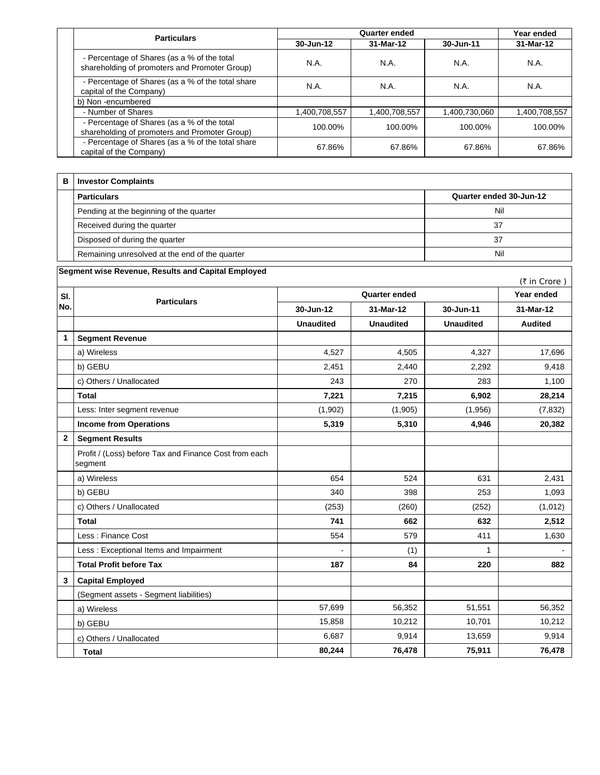|  | <b>Particulars</b>                                                                           | Quarter ended |               |               | Year ended    |
|--|----------------------------------------------------------------------------------------------|---------------|---------------|---------------|---------------|
|  |                                                                                              | 30-Jun-12     | 31-Mar-12     | 30-Jun-11     | 31-Mar-12     |
|  | - Percentage of Shares (as a % of the total<br>shareholding of promoters and Promoter Group) | N.A.          | N.A.          | N.A.          | N.A.          |
|  | - Percentage of Shares (as a % of the total share<br>capital of the Company)                 | N.A.          | N.A.          | N.A.          | N.A.          |
|  | b) Non-encumbered                                                                            |               |               |               |               |
|  | - Number of Shares                                                                           | 1,400,708,557 | 1,400,708,557 | 1,400,730,060 | 1,400,708,557 |
|  | - Percentage of Shares (as a % of the total<br>shareholding of promoters and Promoter Group) | 100.00%       | 100.00%       | 100.00%       | 100.00%       |
|  | - Percentage of Shares (as a % of the total share<br>capital of the Company)                 | 67.86%        | 67.86%        | 67.86%        | 67.86%        |

| в | <b>Investor Complaints</b>                     |                         |
|---|------------------------------------------------|-------------------------|
|   | <b>Particulars</b>                             | Quarter ended 30-Jun-12 |
|   | Pending at the beginning of the quarter        | Nil                     |
|   | Received during the quarter                    | 37                      |
|   | Disposed of during the quarter                 | 37                      |
|   | Remaining unresolved at the end of the quarter | Nil                     |

| Segment wise Revenue, Results and Capital Employed<br>(₹ in Crore) |                                                                  |                      |                  |                  |                |
|--------------------------------------------------------------------|------------------------------------------------------------------|----------------------|------------------|------------------|----------------|
| SI.                                                                | <b>Particulars</b>                                               | <b>Quarter ended</b> |                  |                  | Year ended     |
| No.                                                                |                                                                  | 30-Jun-12            | 31-Mar-12        | 30-Jun-11        | 31-Mar-12      |
|                                                                    |                                                                  | <b>Unaudited</b>     | <b>Unaudited</b> | <b>Unaudited</b> | <b>Audited</b> |
| 1                                                                  | <b>Segment Revenue</b>                                           |                      |                  |                  |                |
|                                                                    | a) Wireless                                                      | 4,527                | 4,505            | 4,327            | 17,696         |
|                                                                    | b) GEBU                                                          | 2,451                | 2,440            | 2,292            | 9,418          |
|                                                                    | c) Others / Unallocated                                          | 243                  | 270              | 283              | 1,100          |
|                                                                    | <b>Total</b>                                                     | 7,221                | 7,215            | 6,902            | 28,214         |
|                                                                    | Less: Inter segment revenue                                      | (1,902)              | (1,905)          | (1,956)          | (7, 832)       |
|                                                                    | <b>Income from Operations</b>                                    | 5,319                | 5,310            | 4,946            | 20,382         |
| $\mathbf{2}$                                                       | <b>Segment Results</b>                                           |                      |                  |                  |                |
|                                                                    | Profit / (Loss) before Tax and Finance Cost from each<br>segment |                      |                  |                  |                |
|                                                                    | a) Wireless                                                      | 654                  | 524              | 631              | 2,431          |
|                                                                    | b) GEBU                                                          | 340                  | 398              | 253              | 1,093          |
|                                                                    | c) Others / Unallocated                                          | (253)                | (260)            | (252)            | (1,012)        |
|                                                                    | <b>Total</b>                                                     | 741                  | 662              | 632              | 2,512          |
|                                                                    | Less: Finance Cost                                               | 554                  | 579              | 411              | 1,630          |
|                                                                    | Less: Exceptional Items and Impairment                           |                      | (1)              | 1                |                |
|                                                                    | <b>Total Profit before Tax</b>                                   | 187                  | 84               | 220              | 882            |
| 3                                                                  | <b>Capital Employed</b>                                          |                      |                  |                  |                |
|                                                                    | (Segment assets - Segment liabilities)                           |                      |                  |                  |                |
|                                                                    | a) Wireless                                                      | 57,699               | 56,352           | 51,551           | 56,352         |
|                                                                    | b) GEBU                                                          | 15,858               | 10,212           | 10,701           | 10,212         |
|                                                                    | c) Others / Unallocated                                          | 6,687                | 9,914            | 13,659           | 9,914          |
|                                                                    | <b>Total</b>                                                     | 80,244               | 76,478           | 75,911           | 76,478         |